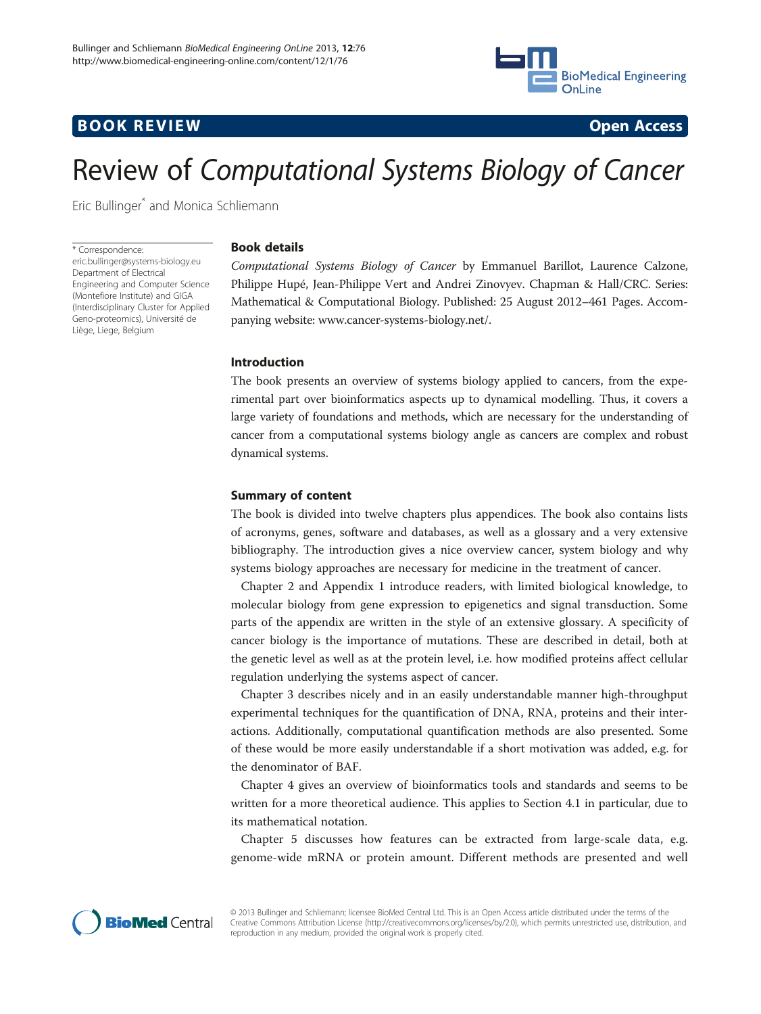

## **BOOK REVIEW CONTROL** BOOK REVIEW



# Review of Computational Systems Biology of Cancer

Eric Bullinger\* and Monica Schliemann

\* Correspondence: [eric.bullinger@systems-biology.eu](mailto:eric.bullinger@systems-biology.eu) Department of Electrical Engineering and Computer Science (Montefiore Institute) and GIGA (Interdisciplinary Cluster for Applied Geno-proteomics), Université de Liège, Liege, Belgium

### Book details

Computational Systems Biology of Cancer by Emmanuel Barillot, Laurence Calzone, Philippe Hupé, Jean-Philippe Vert and Andrei Zinovyev. Chapman & Hall/CRC. Series: Mathematical & Computational Biology. Published: 25 August 2012–461 Pages. Accompanying website: [www.cancer-systems-biology.net/.](http://www.cancer-systems-biology.net/)

#### Introduction

The book presents an overview of systems biology applied to cancers, from the experimental part over bioinformatics aspects up to dynamical modelling. Thus, it covers a large variety of foundations and methods, which are necessary for the understanding of cancer from a computational systems biology angle as cancers are complex and robust dynamical systems.

### Summary of content

The book is divided into twelve chapters plus appendices. The book also contains lists of acronyms, genes, software and databases, as well as a glossary and a very extensive bibliography. The introduction gives a nice overview cancer, system biology and why systems biology approaches are necessary for medicine in the treatment of cancer.

Chapter 2 and Appendix 1 introduce readers, with limited biological knowledge, to molecular biology from gene expression to epigenetics and signal transduction. Some parts of the appendix are written in the style of an extensive glossary. A specificity of cancer biology is the importance of mutations. These are described in detail, both at the genetic level as well as at the protein level, i.e. how modified proteins affect cellular regulation underlying the systems aspect of cancer.

Chapter 3 describes nicely and in an easily understandable manner high-throughput experimental techniques for the quantification of DNA, RNA, proteins and their interactions. Additionally, computational quantification methods are also presented. Some of these would be more easily understandable if a short motivation was added, e.g. for the denominator of BAF.

Chapter 4 gives an overview of bioinformatics tools and standards and seems to be written for a more theoretical audience. This applies to Section 4.1 in particular, due to its mathematical notation.

Chapter 5 discusses how features can be extracted from large-scale data, e.g. genome-wide mRNA or protein amount. Different methods are presented and well



© 2013 Bullinger and Schliemann; licensee BioMed Central Ltd. This is an Open Access article distributed under the terms of the Creative Commons Attribution License (<http://creativecommons.org/licenses/by/2.0>), which permits unrestricted use, distribution, and reproduction in any medium, provided the original work is properly cited.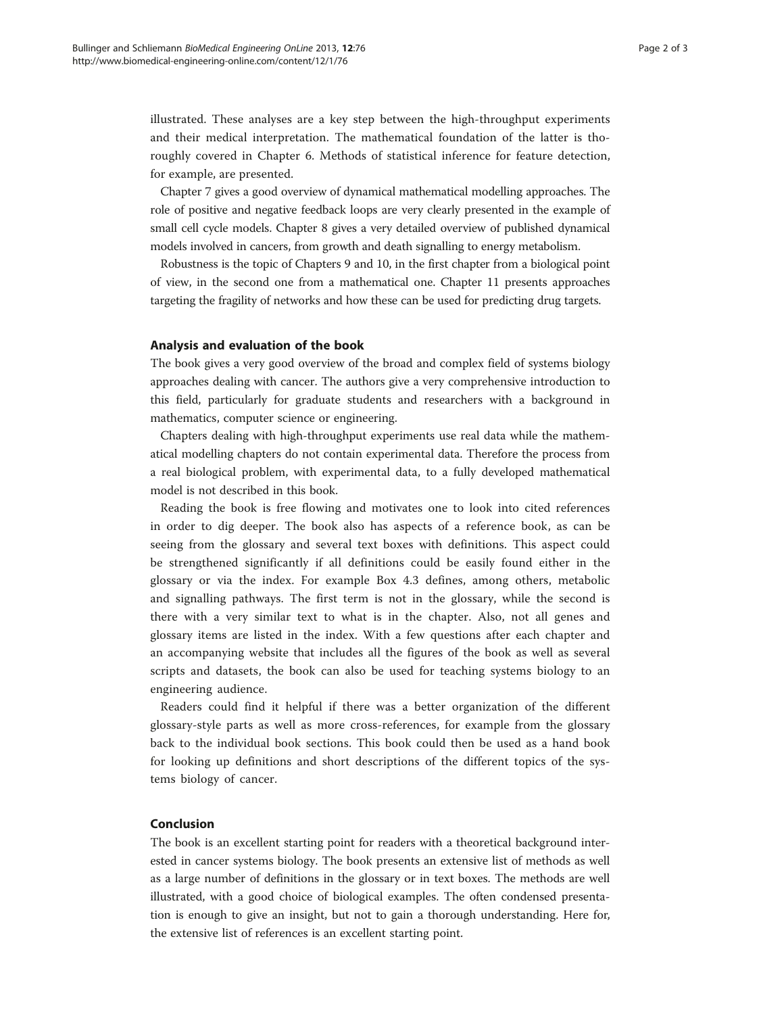illustrated. These analyses are a key step between the high-throughput experiments and their medical interpretation. The mathematical foundation of the latter is thoroughly covered in Chapter 6. Methods of statistical inference for feature detection, for example, are presented.

Chapter 7 gives a good overview of dynamical mathematical modelling approaches. The role of positive and negative feedback loops are very clearly presented in the example of small cell cycle models. Chapter 8 gives a very detailed overview of published dynamical models involved in cancers, from growth and death signalling to energy metabolism.

Robustness is the topic of Chapters 9 and 10, in the first chapter from a biological point of view, in the second one from a mathematical one. Chapter 11 presents approaches targeting the fragility of networks and how these can be used for predicting drug targets.

#### Analysis and evaluation of the book

The book gives a very good overview of the broad and complex field of systems biology approaches dealing with cancer. The authors give a very comprehensive introduction to this field, particularly for graduate students and researchers with a background in mathematics, computer science or engineering.

Chapters dealing with high-throughput experiments use real data while the mathematical modelling chapters do not contain experimental data. Therefore the process from a real biological problem, with experimental data, to a fully developed mathematical model is not described in this book.

Reading the book is free flowing and motivates one to look into cited references in order to dig deeper. The book also has aspects of a reference book, as can be seeing from the glossary and several text boxes with definitions. This aspect could be strengthened significantly if all definitions could be easily found either in the glossary or via the index. For example Box 4.3 defines, among others, metabolic and signalling pathways. The first term is not in the glossary, while the second is there with a very similar text to what is in the chapter. Also, not all genes and glossary items are listed in the index. With a few questions after each chapter and an accompanying website that includes all the figures of the book as well as several scripts and datasets, the book can also be used for teaching systems biology to an engineering audience.

Readers could find it helpful if there was a better organization of the different glossary-style parts as well as more cross-references, for example from the glossary back to the individual book sections. This book could then be used as a hand book for looking up definitions and short descriptions of the different topics of the systems biology of cancer.

#### Conclusion

The book is an excellent starting point for readers with a theoretical background interested in cancer systems biology. The book presents an extensive list of methods as well as a large number of definitions in the glossary or in text boxes. The methods are well illustrated, with a good choice of biological examples. The often condensed presentation is enough to give an insight, but not to gain a thorough understanding. Here for, the extensive list of references is an excellent starting point.